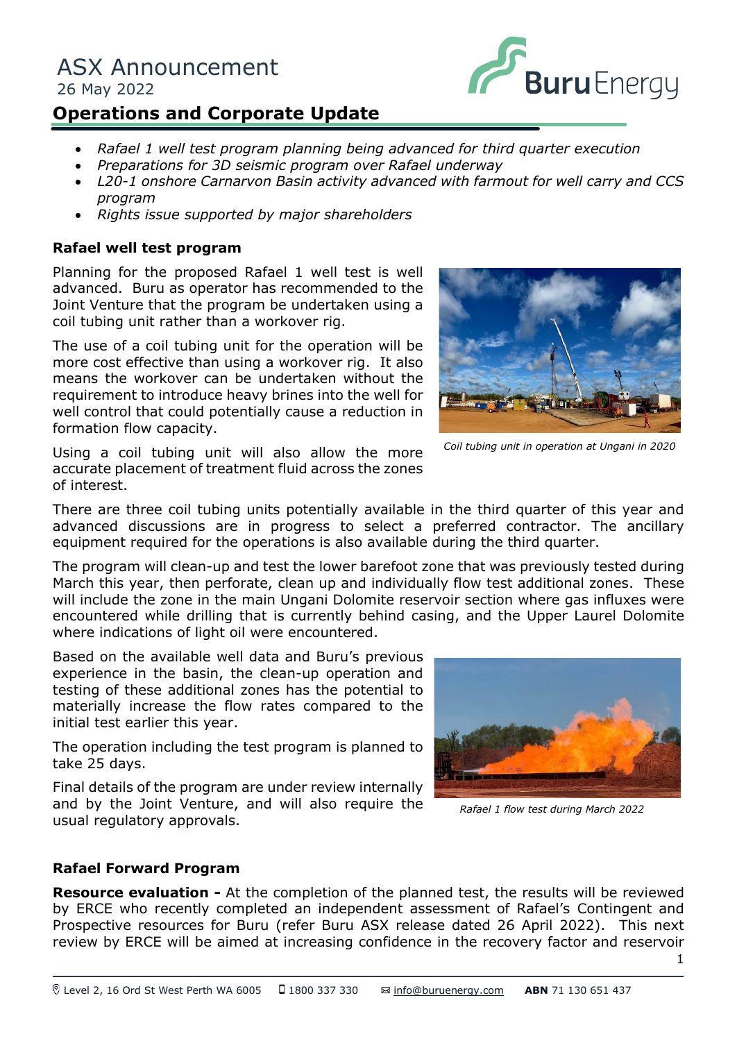# ASX Announcement 26 May 2022



# **Operations and Corporate Update**

- *Rafael 1 well test program planning being advanced for third quarter execution*
- *Preparations for 3D seismic program over Rafael underway*
- *L20-1 onshore Carnarvon Basin activity advanced with farmout for well carry and CCS program*
- *Rights issue supported by major shareholders*

## **Rafael well test program**

riamming for the proposed Karaer I wen test is went<br>advanced. Buru as operator has recommended to the Planning for the proposed Rafael 1 well test is well Joint Venture that the program be undertaken using a coil tubing unit rather than a workover rig.

The use of a coil tubing unit for the operation will be more cost effective than using a workover rig. It also means the workover can be undertaken without the requirement to introduce heavy brines into the well for well control that could potentially cause a reduction in formation flow capacity.





*Coil tubing unit in operation at Ungani in 2020*

There are three coil tubing units potentially available in the third quarter of this year and advanced discussions are in progress to select a preferred contractor. The ancillary equipment required for the operations is also available during the third quarter.

The program will clean-up and test the lower barefoot zone that was previously tested during March this year, then perforate, clean up and individually flow test additional zones. These will include the zone in the main Ungani Dolomite reservoir section where gas influxes were encountered while drilling that is currently behind casing, and the Upper Laurel Dolomite where indications of light oil were encountered.

Based on the available well data and Buru's previous experience in the basin, the clean-up operation and testing of these additional zones has the potential to materially increase the flow rates compared to the initial test earlier this year.

The operation including the test program is planned to take 25 days.

Final details of the program are under review internally and by the Joint Venture, and will also require the usual regulatory approvals.



*Rafael 1 flow test during March 2022* 

#### **Rafael Forward Program**

**Resource evaluation -** At the completion of the planned test, the results will be reviewed by ERCE who recently completed an independent assessment of Rafael's Contingent and Prospective resources for Buru (refer Buru ASX release dated 26 April 2022). This next review by ERCE will be aimed at increasing confidence in the recovery factor and reservoir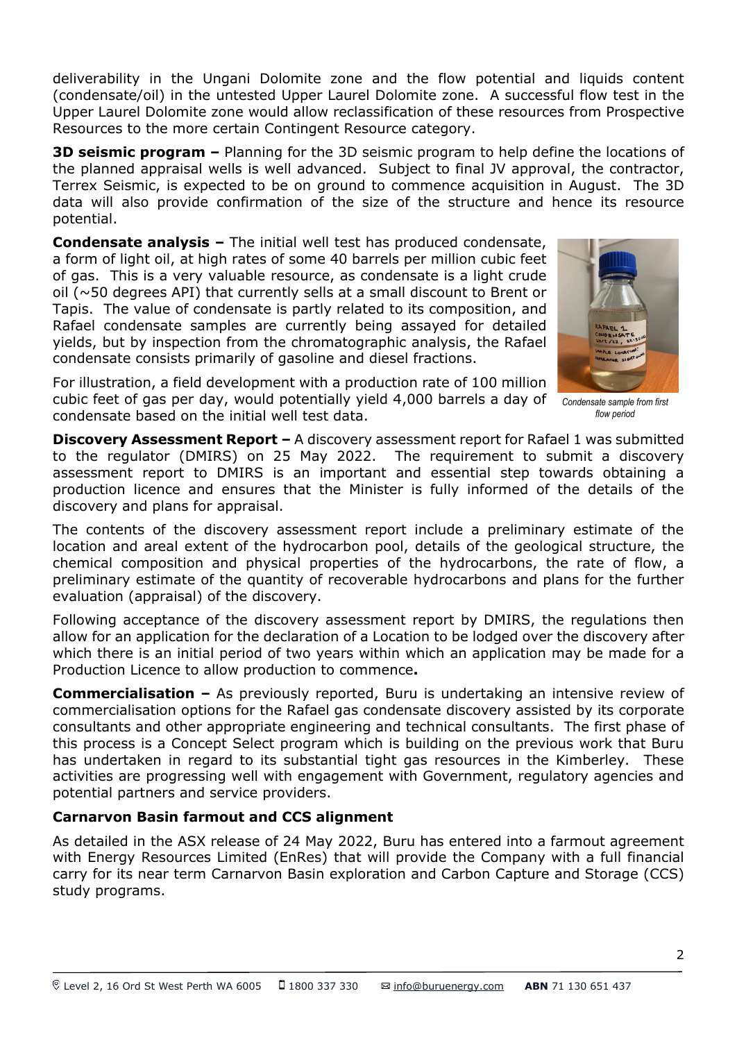deliverability in the Ungani Dolomite zone and the flow potential and liquids content (condensate/oil) in the untested Upper Laurel Dolomite zone. A successful flow test in the Upper Laurel Dolomite zone would allow reclassification of these resources from Prospective Resources to the more certain Contingent Resource category.

**3D seismic program –** Planning for the 3D seismic program to help define the locations of the planned appraisal wells is well advanced. Subject to final JV approval, the contractor, Terrex Seismic, is expected to be on ground to commence acquisition in August. The 3D data will also provide confirmation of the size of the structure and hence its resource potential.

**Condensate analysis –** The initial well test has produced condensate, a form of light oil, at high rates of some 40 barrels per million cubic feet of gas. This is a very valuable resource, as condensate is a light crude oil (~50 degrees API) that currently sells at a small discount to Brent or Tapis. The value of condensate is partly related to its composition, and Rafael condensate samples are currently being assayed for detailed yields, but by inspection from the chromatographic analysis, the Rafael condensate consists primarily of gasoline and diesel fractions.



For illustration, a field development with a production rate of 100 million cubic feet of gas per day, would potentially yield 4,000 barrels a day of *Condensate sample from first*  condensate based on the initial well test data.

*flow period*

**Discovery Assessment Report – A discovery assessment report for Rafael 1 was submitted** to the regulator (DMIRS) on 25 May 2022. The requirement to submit a discovery assessment report to DMIRS is an important and essential step towards obtaining a production licence and ensures that the Minister is fully informed of the details of the discovery and plans for appraisal.

The contents of the discovery assessment report include a preliminary estimate of the location and areal extent of the hydrocarbon pool, details of the geological structure, the chemical composition and physical properties of the hydrocarbons, the rate of flow, a preliminary estimate of the quantity of recoverable hydrocarbons and plans for the further evaluation (appraisal) of the discovery.

Following acceptance of the discovery assessment report by DMIRS, the regulations then allow for an application for the declaration of a Location to be lodged over the discovery after which there is an initial period of two years within which an application may be made for a Production Licence to allow production to commence**.**

**Commercialisation –** As previously reported, Buru is undertaking an intensive review of commercialisation options for the Rafael gas condensate discovery assisted by its corporate consultants and other appropriate engineering and technical consultants. The first phase of this process is a Concept Select program which is building on the previous work that Buru has undertaken in regard to its substantial tight gas resources in the Kimberley. These activities are progressing well with engagement with Government, regulatory agencies and potential partners and service providers.

# **Carnarvon Basin farmout and CCS alignment**

As detailed in the ASX release of 24 May 2022, Buru has entered into a farmout agreement with Energy Resources Limited (EnRes) that will provide the Company with a full financial carry for its near term Carnarvon Basin exploration and Carbon Capture and Storage (CCS) study programs.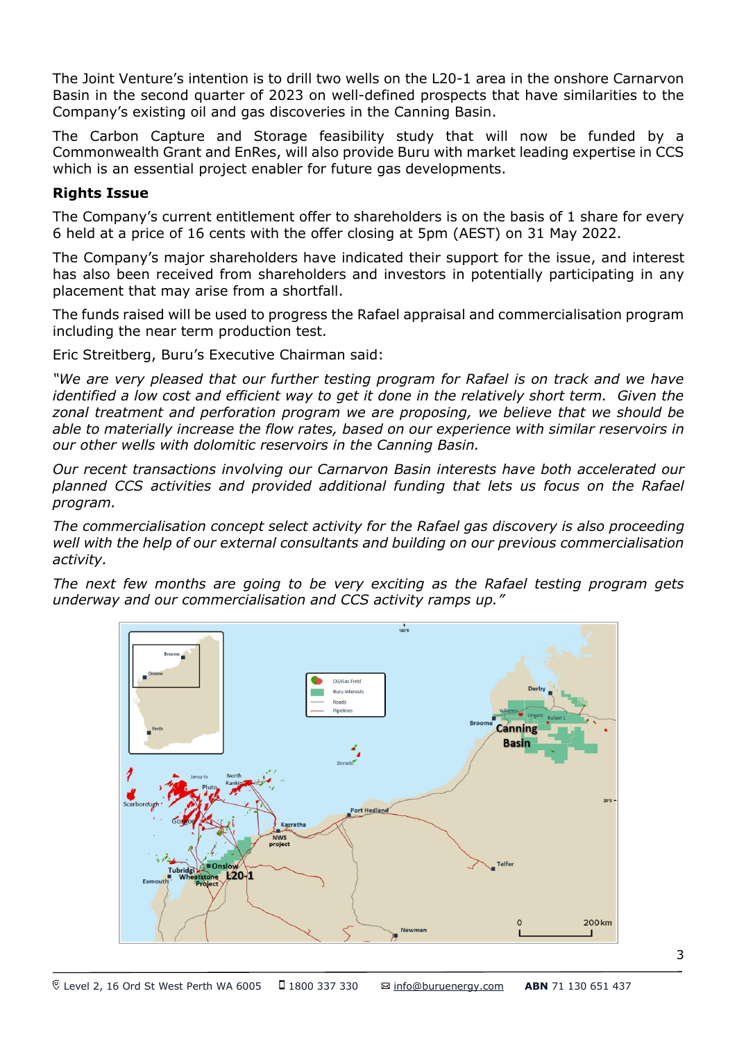The Joint Venture's intention is to drill two wells on the L20-1 area in the onshore Carnarvon Basin in the second quarter of 2023 on well-defined prospects that have similarities to the Company's existing oil and gas discoveries in the Canning Basin.

The Carbon Capture and Storage feasibility study that will now be funded by a Commonwealth Grant and EnRes, will also provide Buru with market leading expertise in CCS which is an essential project enabler for future gas developments.

#### **Rights Issue**

The Company's current entitlement offer to shareholders is on the basis of 1 share for every 6 held at a price of 16 cents with the offer closing at 5pm (AEST) on 31 May 2022.

The Company's major shareholders have indicated their support for the issue, and interest has also been received from shareholders and investors in potentially participating in any placement that may arise from a shortfall.

The funds raised will be used to progress the Rafael appraisal and commercialisation program including the near term production test.

Eric Streitberg, Buru's Executive Chairman said:

*"We are very pleased that our further testing program for Rafael is on track and we have identified a low cost and efficient way to get it done in the relatively short term. Given the zonal treatment and perforation program we are proposing, we believe that we should be able to materially increase the flow rates, based on our experience with similar reservoirs in our other wells with dolomitic reservoirs in the Canning Basin.*

*Our recent transactions involving our Carnarvon Basin interests have both accelerated our planned CCS activities and provided additional funding that lets us focus on the Rafael program.*

*The commercialisation concept select activity for the Rafael gas discovery is also proceeding well with the help of our external consultants and building on our previous commercialisation activity.*

*The next few months are going to be very exciting as the Rafael testing program gets underway and our commercialisation and CCS activity ramps up."*